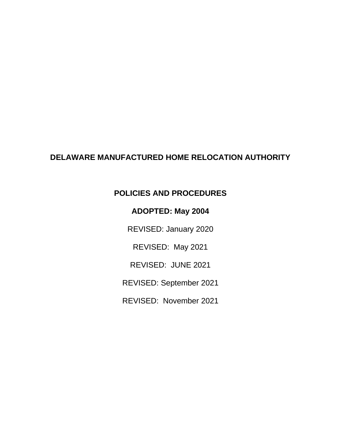# **DELAWARE MANUFACTURED HOME RELOCATION AUTHORITY**

# **POLICIES AND PROCEDURES**

# **ADOPTED: May 2004**

REVISED: January 2020

REVISED: May 2021

REVISED: JUNE 2021

REVISED: September 2021

REVISED: November 2021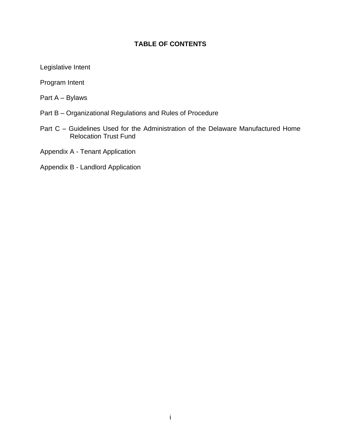# **TABLE OF CONTENTS**

Legislative Intent

Program Intent

Part A – Bylaws

- Part B Organizational Regulations and Rules of Procedure
- Part C Guidelines Used for the Administration of the Delaware Manufactured Home Relocation Trust Fund
- Appendix A Tenant Application
- Appendix B Landlord Application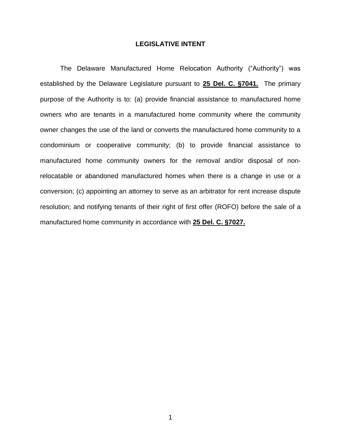### **LEGISLATIVE INTENT**

 established by the Delaware Legislature pursuant to **25 Del. C. §7041.** The primary purpose of the Authority is to: (a) provide financial assistance to manufactured home owners who are tenants in a manufactured home community where the community owner changes the use of the land or converts the manufactured home community to a condominium or cooperative community; (b) to provide financial assistance to manufactured home community owners for the removal and/or disposal of non- relocatable or abandoned manufactured homes when there is a change in use or a conversion; (c) appointing an attorney to serve as an arbitrator for rent increase dispute The Delaware Manufactured Home Relocation Authority ("Authority") was resolution; and notifying tenants of their right of first offer (ROFO) before the sale of a manufactured home community in accordance with **25 Del. C. §7027.**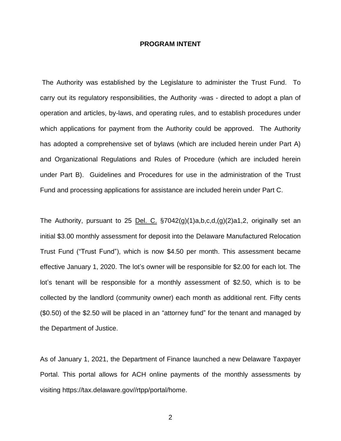#### **PROGRAM INTENT**

 The Authority was established by the Legislature to administer the Trust Fund. To carry out its regulatory responsibilities, the Authority -was - directed to adopt a plan of operation and articles, by-laws, and operating rules, and to establish procedures under which applications for payment from the Authority could be approved. The Authority has adopted a comprehensive set of bylaws (which are included herein under Part A) and Organizational Regulations and Rules of Procedure (which are included herein under Part B). Guidelines and Procedures for use in the administration of the Trust Fund and processing applications for assistance are included herein under Part C.

The Authority, pursuant to 25 Del. C.  $\S7042(g)(1)a,b,c,d,(g)(2)a1,2$ , originally set an effective January 1, 2020. The lot's owner will be responsible for \$2.00 for each lot. The lot's tenant will be responsible for a monthly assessment of \$2.50, which is to be collected by the landlord (community owner) each month as additional rent. Fifty cents (\$0.50) of the \$2.50 will be placed in an "attorney fund" for the tenant and managed by initial \$3.00 monthly assessment for deposit into the Delaware Manufactured Relocation Trust Fund ("Trust Fund"), which is now \$4.50 per month. This assessment became the Department of Justice.

 As of January 1, 2021, the Department of Finance launched a new Delaware Taxpayer Portal. This portal allows for ACH online payments of the monthly assessments by visiting [https://tax.delaware.gov//rtpp/portal/home.](https://tax.delaware.gov//rtpp/portal/home)

2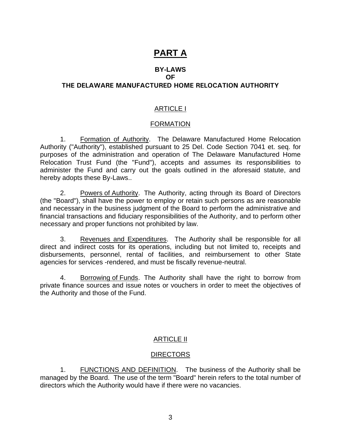# **PART A**

#### **BY-LAWS OF**

# **THE DELAWARE MANUFACTURED HOME RELOCATION AUTHORITY**

### ARTICLE I

### FORMATION

1. Formation of Authority. The Delaware Manufactured Home Relocation Authority ("Authority"), established pursuant to 25 Del. Code Section 7041 et. seq. for purposes of the administration and operation of The Delaware Manufactured Home administer the Fund and carry out the goals outlined in the aforesaid statute, and Relocation Trust Fund (the "Fund"), accepts and assumes its responsibilities to hereby adopts these By-Laws..

2. Powers of Authority. The Authority, acting through its Board of Directors (the "Board"), shall have the power to employ or retain such persons as are reasonable and necessary in the business judgment of the Board to perform the administrative and financial transactions and fiduciary responsibilities of the Authority, and to perform other necessary and proper functions not prohibited by law.

3. Revenues and Expenditures. The Authority shall be responsible for all direct and indirect costs for its operations, including but not limited to, receipts and disbursements, personnel, rental of facilities, and reimbursement to other State agencies for services -rendered, and must be fiscally revenue-neutral.

4. Borrowing of Funds. The Authority shall have the right to borrow from private finance sources and issue notes or vouchers in order to meet the objectives of the Authority and those of the Fund.

### ARTICLE II

### **DIRECTORS**

1. FUNCTIONS AND DEFINITION. The business of the Authority shall be managed by the Board. The use of the term "Board" herein refers to the total number of directors which the Authority would have if there were no vacancies.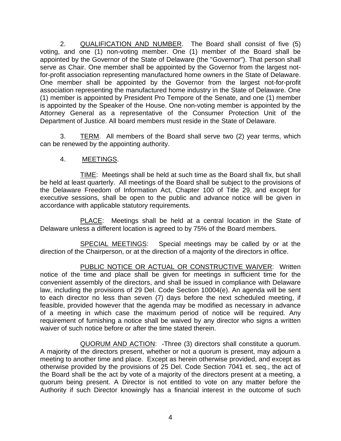2. QUALIFICATION AND NUMBER. The Board shall consist of five (5) voting, and one (1) non-voting member. One (1) member of the Board shall be appointed by the Governor of the State of Delaware (the "Governor"). That person shall for-profit association representing manufactured home owners in the State of Delaware. One member shall be appointed by the Governor from the largest not-for-profit association representing the manufactured home industry in the State of Delaware. One (1) member is appointed by President Pro Tempore of the Senate, and one (1) member is appointed by the Speaker of the House. One non-voting member is appointed by the Attorney General as a representative of the Consumer Protection Unit of the serve as Chair. One member shall be appointed by the Governor from the largest not-Department of Justice. All board members must reside in the State of Delaware.

3. TERM. All members of the Board shall serve two (2) year terms, which can be renewed by the appointing authority.

# 4. MEETINGS.

TIME: Meetings shall be held at such time as the Board shall fix, but shall be held at least quarterly. All meetings of the Board shall be subject to the provisions of the Delaware Freedom of Information Act, Chapter 100 of Title 29, and except for executive sessions, shall be open to the public and advance notice will be given in accordance with applicable statutory requirements.

PLACE: Meetings shall be held at a central location in the State of Delaware unless a different location is agreed to by 75% of the Board members.

SPECIAL MEETINGS: Special meetings may be called by or at the direction of the Chairperson, or at the direction of a majority of the directors in office.

 PUBLIC NOTICE OR ACTUAL OR CONSTRUCTIVE WAIVER: Written notice of the time and place shall be given for meetings in sufficient time for the convenient assembly of the directors, and shall be issued in compliance with Delaware law, including the provisions of 29 Del. Code Section 10004(e). An agenda will be sent to each director no less than seven (7) days before the next scheduled meeting, if feasible, provided however that the agenda may be modified as necessary in advance of a meeting in which case the maximum period of notice will be required. Any requirement of furnishing a notice shall be waived by any director who signs a written waiver of such notice before or after the time stated therein.

QUORUM AND ACTION: - Three (3) directors shall constitute a quorum. A majority of the directors present, whether or not a quorum is present, may adjourn a meeting to another time and place. Except as herein otherwise provided, and except as otherwise provided by the provisions of 25 Del. Code Section 7041 et. seq., the act of the Board shall be the act by vote of a majority of the directors present at a meeting, a quorum being present. A Director is not entitled to vote on any matter before the Authority if such Director knowingly has a financial interest in the outcome of such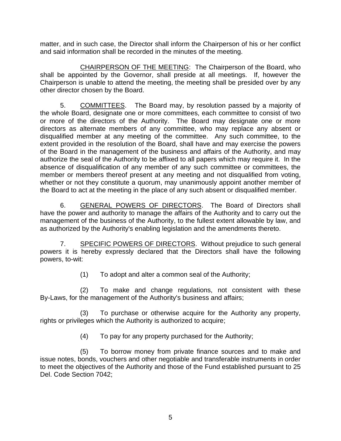matter, and in such case, the Director shall inform the Chairperson of his or her conflict and said information shall be recorded in the minutes of the meeting.

CHAIRPERSON OF THE MEETING: The Chairperson of the Board, who shall be appointed by the Governor, shall preside at all meetings. If, however the Chairperson is unable to attend the meeting, the meeting shall be presided over by any other director chosen by the Board.

5. COMMITTEES. The Board may, by resolution passed by a majority of the whole Board, designate one or more committees, each committee to consist of two or more of the directors of the Authority. The Board may designate one or more disqualified member at any meeting of the committee. Any such committee, to the extent provided in the resolution of the Board, shall have and may exercise the powers of the Board in the management of the business and affairs of the Authority, and may authorize the seal of the Authority to be affixed to all papers which may require it. In the absence of disqualification of any member of any such committee or committees, the member or members thereof present at any meeting and not disqualified from voting, the Board to act at the meeting in the place of any such absent or disqualified member. directors as alternate members of any committee, who may replace any absent or whether or not they constitute a quorum, may unanimously appoint another member of

6. GENERAL POWERS OF DIRECTORS. The Board of Directors shall have the power and authority to manage the affairs of the Authority and to carry out the management of the business of the Authority, to the fullest extent allowable by law, and as authorized by the Authority's enabling legislation and the amendments thereto.

7. SPECIFIC POWERS OF DIRECTORS. Without prejudice to such general powers it is hereby expressly declared that the Directors shall have the following powers, to-wit:

(1) To adopt and alter a common seal of the Authority;

 (2) To make and change regulations, not consistent with these By-Laws, for the management of the Authority's business and affairs;

 (3) To purchase or otherwise acquire for the Authority any property, rights or privileges which the Authority is authorized to acquire;

(4) To pay for any property purchased for the Authority;

 (5) To borrow money from private finance sources and to make and to meet the objectives of the Authority and those of the Fund established pursuant to 25 issue notes, bonds, vouchers and other negotiable and transferable instruments in order Del. Code Section 7042;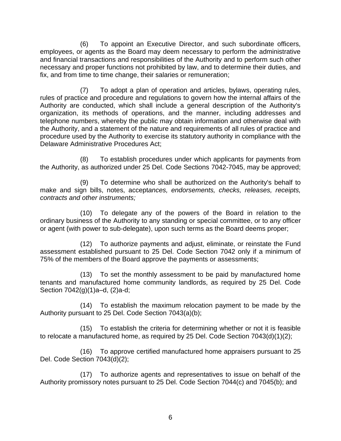(6) To appoint an Executive Director, and such subordinate officers, employees, or agents as the Board may deem necessary to perform the administrative and financial transactions and responsibilities of the Authority and to perform such other necessary and proper functions not prohibited by law, and to determine their duties, and fix, and from time to time change, their salaries or remuneration;

 (7) To adopt a plan of operation and articles, bylaws, operating rules, rules of practice and procedure and regulations to govern how the internal affairs of the Authority are conducted, which shall include a general description of the Authority's organization, its methods of operations, and the manner, including addresses and telephone numbers, whereby the public may obtain information and otherwise deal with procedure used by the Authority to exercise its statutory authority in compliance with the the Authority, and a statement of the nature and requirements of all rules of practice and Delaware Administrative Procedures Act;

 (8) To establish procedures under which applicants for payments from the Authority, as authorized under 25 Del. Code Sections 7042-7045, may be approved;

 (9) To determine who shall be authorized on the Authority's behalf to make and sign bills, notes, accept*ances, endorsements, checks, releases, receipts, contracts and other instruments;* 

 (10) To delegate any of the powers of the Board in relation to the ordinary business of the Authority to any standing or special committee, or to any officer or agent (with power to sub-delegate), upon such terms as the Board deems proper;

 (12) To authorize payments and adjust, eliminate, or reinstate the Fund assessment established pursuant to 25 Del. Code Section 7042 only if a minimum of 75% of the members of the Board approve the payments or assessments;

 (13) To set the monthly assessment to be paid by manufactured home tenants and manufactured home community landlords, as required by 25 Del. Code Section 7042(g)(1)a–d, (2)a-d;

 (14) To establish the maximum relocation payment to be made by the Authority pursuant to 25 Del. Code Section 7043(a)(b);

 (15) To establish the criteria for determining whether or not it is feasible to relocate a manufactured home, as required by 25 Del. Code Section 7043(d)(1)(2);

 (16) To approve certified manufactured home appraisers pursuant to 25 Del. Code Section 7043(d)(2);

 (17) To authorize agents and representatives to issue on behalf of the Authority promissory notes pursuant to 25 Del. Code Section 7044(c) and 7045(b); and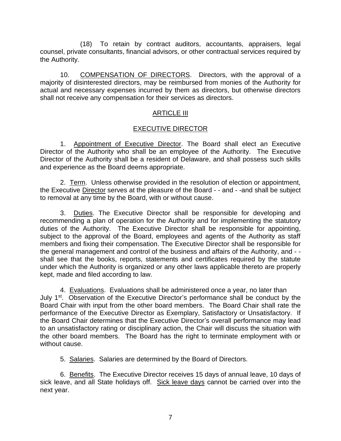(18) To retain by contract auditors, accountants, appraisers, legal counsel, private consultants, financial advisors, or other contractual services required by the Authority.

 majority of disinterested directors, may be reimbursed from monies of the Authority for actual and necessary expenses incurred by them as directors, but otherwise directors 10. COMPENSATION OF DIRECTORS. Directors, with the approval of a shall not receive any compensation for their services as directors.

# ARTICLE III

# EXECUTIVE DIRECTOR

1. Appointment of Executive Director. The Board shall elect an Executive Director of the Authority who shall be an employee of the Authority. The Executive Director of the Authority shall be a resident of Delaware, and shall possess such skills and experience as the Board deems appropriate.

2. Term. Unless otherwise provided in the resolution of election or appointment, the Executive Director serves at the pleasure of the Board - - and - -and shall be subject to removal at any time by the Board, with or without cause.

3. Duties. The Executive Director shall be responsible for developing and recommending a plan of operation for the Authority and for implementing the statutory duties of the Authority. The Executive Director shall be responsible for appointing, subject to the approval of the Board, employees and agents of the Authority as staff members and fixing their compensation. The Executive Director shall be responsible for the general management and control of the business and affairs of the Authority, and - - shall see that the books, reports, statements and certificates required by the statute under which the Authority is organized or any other laws applicable thereto are properly kept, made and filed according to law.

July 1<sup>st</sup>. Observation of the Executive Director's performance shall be conduct by the Board Chair with input from the other board members. The Board Chair shall rate the performance of the Executive Director as Exemplary, Satisfactory or Unsatisfactory. If the Board Chair determines that the Executive Director's overall performance may lead to an unsatisfactory rating or disciplinary action, the Chair will discuss the situation with the other board members. The Board has the right to terminate employment with or 4. Evaluations. Evaluations shall be administered once a year, no later than without cause.

5. Salaries. Salaries are determined by the Board of Directors.

6. Benefits. The Executive Director receives 15 days of annual leave, 10 days of sick leave, and all State holidays off. Sick leave days cannot be carried over into the next year.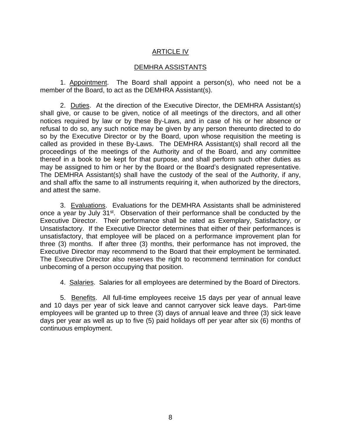# ARTICLE IV

#### DEMHRA ASSISTANTS

1. Appointment. The Board shall appoint a person(s), who need not be a member of the Board, to act as the DEMHRA Assistant(s).

2. Duties. At the direction of the Executive Director, the DEMHRA Assistant(s) shall give, or cause to be given, notice of all meetings of the directors, and all other notices required by law or by these By-Laws, and in case of his or her absence or refusal to do so, any such notice may be given by any person thereunto directed to do so by the Executive Director or by the Board, upon whose requisition the meeting is called as provided in these By-Laws. The DEMHRA Assistant(s) shall record all the proceedings of the meetings of the Authority and of the Board, and any committee thereof in a book to be kept for that purpose, and shall perform such other duties as may be assigned to him or her by the Board or the Board's designated representative. The DEMHRA Assistant(s) shall have the custody of the seal of the Authority, if any, and shall affix the same to all instruments requiring it, when authorized by the directors, and attest the same.

3. Evaluations. Evaluations for the DEMHRA Assistants shall be administered once a year by July 31<sup>st</sup>. Observation of their performance shall be conducted by the Executive Director. Their performance shall be rated as Exemplary, Satisfactory, or Unsatisfactory. If the Executive Director determines that either of their performances is unsatisfactory, that employee will be placed on a performance improvement plan for Executive Director may recommend to the Board that their employment be terminated. three (3) months. If after three (3) months, their performance has not improved, the The Executive Director also reserves the right to recommend termination for conduct unbecoming of a person occupying that position.

4. Salaries. Salaries for all employees are determined by the Board of Directors.

5. Benefits. All full-time employees receive 15 days per year of annual leave and 10 days per year of sick leave and cannot carryover sick leave days. Part-time employees will be granted up to three (3) days of annual leave and three (3) sick leave days per year as well as up to five (5) paid holidays off per year after six (6) months of continuous employment.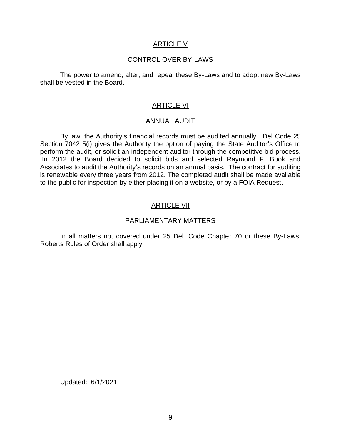#### ARTICLE V

### CONTROL OVER BY-LAWS

The power to amend, alter, and repeal these By-Laws and to adopt new By-Laws shall be vested in the Board.

### ARTICLE VI

#### ANNUAL AUDIT

 By law, the Authority's financial records must be audited annually. Del Code 25 Section 7042 5(i) gives the Authority the option of paying the State Auditor's Office to perform the audit, or solicit an independent auditor through the competitive bid process. In 2012 the Board decided to solicit bids and selected Raymond F. Book and Associates to audit the Authority's records on an annual basis. The contract for auditing is renewable every three years from 2012. The completed audit shall be made available to the public for inspection by either placing it on a website, or by a FOIA Request.

### ARTICLE VII

### PARLIAMENTARY MATTERS

 In all matters not covered under 25 Del. Code Chapter 70 or these By-Laws, Roberts Rules of Order shall apply.

Updated: 6/1/2021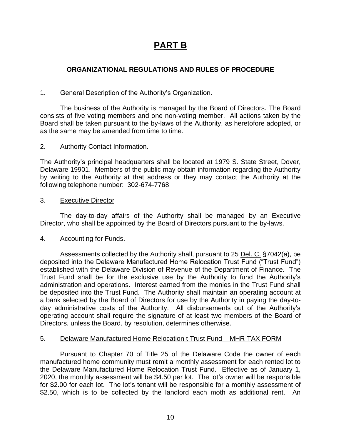# **PART B**

# **ORGANIZATIONAL REGULATIONS AND RULES OF PROCEDURE**

### General Description of the Authority's Organization.

1. General Description of the Authority's Organization.<br>The business of the Authority is managed by the Board of Directors. The Board consists of five voting members and one non-voting member. All actions taken by the Board shall be taken pursuant to the by-laws of the Authority, as heretofore adopted, or as the same may be amended from time to time.

### 2. Authority Contact Information.

 The Authority's principal headquarters shall be located at 1979 S. State Street, Dover, Delaware 19901. Members of the public may obtain information regarding the Authority by writing to the Authority at that address or they may contact the Authority at the following telephone number: 302-674-7768

### 3. Executive Director

 The day-to-day affairs of the Authority shall be managed by an Executive Director, who shall be appointed by the Board of Directors pursuant to the by-laws.

# 4. Accounting for Funds.

Assessments collected by the Authority shall, pursuant to 25 Del. C. §7042(a), be deposited into the Delaware Manufactured Home Relocation Trust Fund ("Trust Fund") established with the Delaware Division of Revenue of the Department of Finance. The Trust Fund shall be for the exclusive use by the Authority to fund the Authority's administration and operations. Interest earned from the monies in the Trust Fund shall be deposited into the Trust Fund. The Authority shall maintain an operating account at a bank selected by the Board of Directors for use by the Authority in paying the day-to- day administrative costs of the Authority. All disbursements out of the Authority's operating account shall require the signature of at least two members of the Board of Directors, unless the Board, by resolution, determines otherwise.

# 5. Delaware Manufactured Home Relocation t Trust Fund – MHR-TAX FORM

 Pursuant to Chapter 70 of Title 25 of the Delaware Code the owner of each manufactured home community must remit a monthly assessment for each rented lot to the Delaware Manufactured Home Relocation Trust Fund. Effective as of January 1, 2020, the monthly assessment will be \$4.50 per lot. The lot's owner will be responsible for \$2.00 for each lot. The lot's tenant will be responsible for a monthly assessment of \$2.50, which is to be collected by the landlord each moth as additional rent. An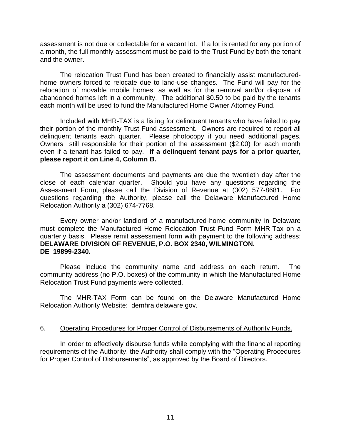assessment is not due or collectable for a vacant lot. If a lot is rented for any portion of a month, the full monthly assessment must be paid to the Trust Fund by both the tenant and the owner.

 The relocation Trust Fund has been created to financially assist manufactured- home owners forced to relocate due to land-use changes. The Fund will pay for the relocation of movable mobile homes, as well as for the removal and/or disposal of abandoned homes left in a community. The additional \$0.50 to be paid by the tenants each month will be used to fund the Manufactured Home Owner Attorney Fund.

 Included with MHR-TAX is a listing for delinquent tenants who have failed to pay their portion of the monthly Trust Fund assessment. Owners are required to report all delinquent tenants each quarter. Please photocopy if you need additional pages. Owners still responsible for their portion of the assessment (\$2.00) for each month even if a tenant has failed to pay. **If a delinquent tenant pays for a prior quarter, please report it on Line 4, Column B.** 

 close of each calendar quarter. Should you have any questions regarding the Assessment Form, please call the Division of Revenue at (302) 577-8681. For questions regarding the Authority, please call the Delaware Manufactured Home The assessment documents and payments are due the twentieth day after the Relocation Authority a (302) 674-7768.

 Every owner and/or landlord of a manufactured-home community in Delaware must complete the Manufactured Home Relocation Trust Fund Form MHR-Tax on a quarterly basis. Please remit assessment form with payment to the following address: **DELAWARE DIVISION OF REVENUE, P.O. BOX 2340, WILMINGTON, DE 19899-2340.** 

 Please include the community name and address on each return. The community address (no P.O. boxes) of the community in which the Manufactured Home Relocation Trust Fund payments were collected.

 The MHR-TAX Form can be found on the Delaware Manufactured Home Relocation Authority Website: [demhra.delaware.gov.](https://demhra.delaware.gov)

### 6. Operating Procedures for Proper Control of Disbursements of Authority Funds.

 In order to effectively disburse funds while complying with the financial reporting requirements of the Authority, the Authority shall comply with the "Operating Procedures for Proper Control of Disbursements", as approved by the Board of Directors.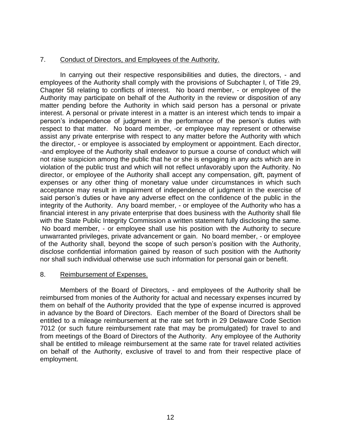### 7. Conduct of Directors, and Employees of the Authority.

 In carrying out their respective responsibilities and duties, the directors, - and employees of the Authority shall comply with the provisions of Subchapter I, of Title 29, Chapter 58 relating to conflicts of interest. No board member, - or employee of the Authority may participate on behalf of the Authority in the review or disposition of any matter pending before the Authority in which said person has a personal or private interest. A personal or private interest in a matter is an interest which tends to impair a person's independence of judgment in the performance of the person's duties with respect to that matter. No board member, -or employee may represent or otherwise assist any private enterprise with respect to any matter before the Authority with which -and employee of the Authority shall endeavor to pursue a course of conduct which will not raise suspicion among the public that he or she is engaging in any acts which are in violation of the public trust and which will not reflect unfavorably upon the Authority. No said person's duties or have any adverse effect on the confidence of the public in the integrity of the Authority. Any board member, - or employee of the Authority who has a with the State Public Integrity Commission a written statement fully disclosing the same. No board member, - or employee shall use his position with the Authority to secure of the Authority shall, beyond the scope of such person's position with the Authority, disclose confidential information gained by reason of such position with the Authority the director, - or employee is associated by employment or appointment. Each director, director, or employee of the Authority shall accept any compensation, gift, payment of expenses or any other thing of monetary value under circumstances in which such acceptance may result in impairment of independence of judgment in the exercise of financial interest in any private enterprise that does business with the Authority shall file unwarranted privileges, private advancement or gain. No board member, - or employee nor shall such individual otherwise use such information for personal gain or benefit.

### 8. Reimbursement of Expenses.

 Members of the Board of Directors, - and employees of the Authority shall be them on behalf of the Authority provided that the type of expense incurred is approved in advance by the Board of Directors. Each member of the Board of Directors shall be entitled to a mileage reimbursement at the rate set forth in 29 Delaware Code Section from meetings of the Board of Directors of the Authority. Any employee of the Authority shall be entitled to mileage reimbursement at the same rate for travel related activities on behalf of the Authority, exclusive of travel to and from their respective place of reimbursed from monies of the Authority for actual and necessary expenses incurred by 7012 (or such future reimbursement rate that may be promulgated) for travel to and employment.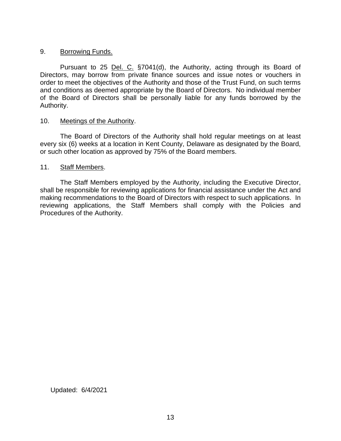### 9. Borrowing Funds.

Pursuant to 25 Del. C. §7041(d), the Authority, acting through its Board of Directors, may borrow from private finance sources and issue notes or vouchers in order to meet the objectives of the Authority and those of the Trust Fund, on such terms of the Board of Directors shall be personally liable for any funds borrowed by the and conditions as deemed appropriate by the Board of Directors. No individual member Authority.

### 10. Meetings of the Authority.

 every six (6) weeks at a location in Kent County, Delaware as designated by the Board, The Board of Directors of the Authority shall hold regular meetings on at least or such other location as approved by 75% of the Board members.

### 11. Staff Members.

 The Staff Members employed by the Authority, including the Executive Director, shall be responsible for reviewing applications for financial assistance under the Act and making recommendations to the Board of Directors with respect to such applications. In reviewing applications, the Staff Members shall comply with the Policies and Procedures of the Authority.

Updated: 6/4/2021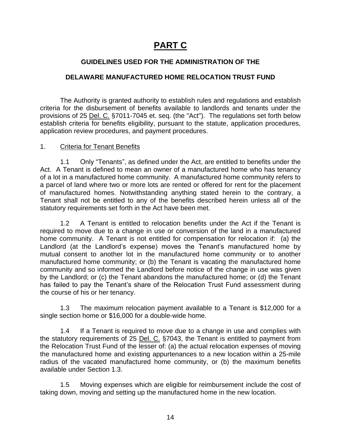# **PART C**

# **GUIDELINES USED FOR THE ADMINISTRATION OF THE**

# **DELAWARE MANUFACTURED HOME RELOCATION TRUST FUND**

 The Authority is granted authority to establish rules and regulations and establish criteria for the disbursement of benefits available to landlords and tenants under the provisions of 25 Del. C. §7011-7045 et. seq. (the "Act"). The regulations set forth below establish criteria for benefits eligibility, pursuant to the statute, application procedures, application review procedures, and payment procedures.

# 1. Criteria for Tenant Benefits

 1.1 Only "Tenants", as defined under the Act, are entitled to benefits under the Act. A Tenant is defined to mean an owner of a manufactured home who has tenancy of a lot in a manufactured home community. A manufactured home community refers to a parcel of land where two or more lots are rented or offered for rent for the placement of manufactured homes. Notwithstanding anything stated herein to the contrary, a Tenant shall not be entitled to any of the benefits described herein unless all of the statutory requirements set forth in the Act have been met.

 1.2 A Tenant is entitled to relocation benefits under the Act if the Tenant is required to move due to a change in use or conversion of the land in a manufactured home community. A Tenant is not entitled for compensation for relocation if: (a) the mutual consent to another lot in the manufactured home community or to another manufactured home community; or (b) the Tenant is vacating the manufactured home community and so informed the Landlord before notice of the change in use was given by the Landlord; or (c) the Tenant abandons the manufactured home; or (d) the Tenant has failed to pay the Tenant's share of the Relocation Trust Fund assessment during Landlord (at the Landlord's expense) moves the Tenant's manufactured home by the course of his or her tenancy.

 1.3 The maximum relocation payment available to a Tenant is \$12,000 for a single section home or \$16,000 for a double-wide home.

 1.4 If a Tenant is required to move due to a change in use and complies with the statutory requirements of 25 Del. C. §7043, the Tenant is entitled to payment from the Relocation Trust Fund of the lesser of: (a) the actual relocation expenses of moving the manufactured home and existing appurtenances to a new location within a 25-mile radius of the vacated manufactured home community, or (b) the maximum benefits available under Section 1.3.

 1.5 Moving expenses which are eligible for reimbursement include the cost of taking down, moving and setting up the manufactured home in the new location.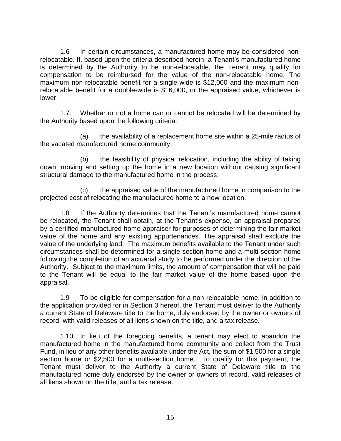1.6 In certain circumstances, a manufactured home may be considered non- relocatable. If, based upon the criteria described herein, a Tenant's manufactured home compensation to be reimbursed for the value of the non-relocatable home. The maximum non-relocatable benefit for a single-wide is \$12,000 and the maximum non- relocatable benefit for a double-wide is \$16,000, or the appraised value, whichever is is determined by the Authority to be non-relocatable, the Tenant may qualify for lower.

 1.7. Whether or not a home can or cannot be relocated will be determined by the Authority based upon the following criteria:

(a) the availability of a replacement home site within a 25-mile radius of the vacated manufactured home community;

 (b) the feasibility of physical relocation, including the ability of taking down, moving and setting up the home in a new location without causing significant structural damage to the manufactured home in the process;

(c) the appraised value of the manufactured home in comparison to the projected cost of relocating the manufactured home to a new location.

 1.8 If the Authority determines that the Tenant's manufactured home cannot by a certified manufactured home appraiser for purposes of determining the fair market value of the home and any existing appurtenances. The appraisal shall exclude the value of the underlying land. The maximum benefits available to the Tenant under such circumstances shall be determined for a single section home and a multi-section home following the completion of an actuarial study to be performed under the direction of the Authority. Subject to the maximum limits, the amount of compensation that will be paid to the Tenant will be equal to the fair market value of the home based upon the be relocated, the Tenant shall obtain, at the Tenant's expense, an appraisal prepared appraisal.

 1.9 To be eligible for compensation for a non-relocatable home, in addition to the application provided for in Section 3 hereof, the Tenant must deliver to the Authority a current State of Delaware title to the home, duly endorsed by the owner or owners of record, with valid releases of all liens shown on the title, and a tax release.

 1.10 In lieu of the foregoing benefits, a tenant may elect to abandon the manufactured home in the manufactured home community and collect from the Trust section home or \$2,500 for a multi-section home. To qualify for this payment, the Tenant must deliver to the Authority a current State of Delaware title to the manufactured home duly endorsed by the owner or owners of record, valid releases of Fund, in lieu of any other benefits available under the Act, the sum of \$1,500 for a single all liens shown on the title, and a tax release.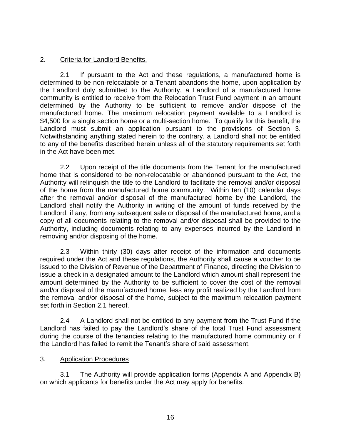# 2. Criteria for Landlord Benefits.

 2.1 If pursuant to the Act and these regulations, a manufactured home is determined to be non-relocatable or a Tenant abandons the home, upon application by the Landlord duly submitted to the Authority, a Landlord of a manufactured home community is entitled to receive from the Relocation Trust Fund payment in an amount determined by the Authority to be sufficient to remove and/or dispose of the manufactured home. The maximum relocation payment available to a Landlord is \$4,500 for a single section home or a multi-section home. To qualify for this benefit, the Landlord must submit an application pursuant to the provisions of Section 3. Notwithstanding anything stated herein to the contrary, a Landlord shall not be entitled to any of the benefits described herein unless all of the statutory requirements set forth in the Act have been met.

 2.2 Upon receipt of the title documents from the Tenant for the manufactured home that is considered to be non-relocatable or abandoned pursuant to the Act, the Authority will relinquish the title to the Landlord to facilitate the removal and/or disposal of the home from the manufactured home community. Within ten (10) calendar days after the removal and/or disposal of the manufactured home by the Landlord, the Landlord shall notify the Authority in writing of the amount of funds received by the copy of all documents relating to the removal and/or disposal shall be provided to the Authority, including documents relating to any expenses incurred by the Landlord in Landlord, if any, from any subsequent sale or disposal of the manufactured home, and a removing and/or disposing of the home.

 2.3 Within thirty (30) days after receipt of the information and documents required under the Act and these regulations, the Authority shall cause a voucher to be issue a check in a designated amount to the Landlord which amount shall represent the amount determined by the Authority to be sufficient to cover the cost of the removal the removal and/or disposal of the home, subject to the maximum relocation payment set forth in Section 2.1 hereof. issued to the Division of Revenue of the Department of Finance, directing the Division to and/or disposal of the manufactured home, less any profit realized by the Landlord from

 2.4 A Landlord shall not be entitled to any payment from the Trust Fund if the Landlord has failed to pay the Landlord's share of the total Trust Fund assessment during the course of the tenancies relating to the manufactured home community or if the Landlord has failed to remit the Tenant's share of said assessment.

### 3. Application Procedures

3.1 The Authority will provide application forms (Appendix A and Appendix B) on which applicants for benefits under the Act may apply for benefits.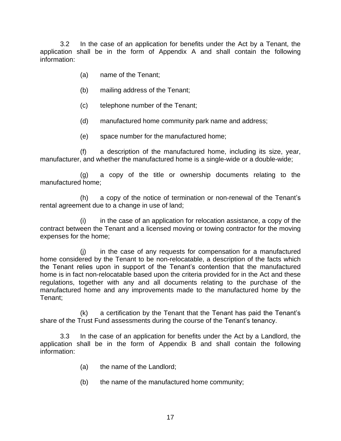3.2 In the case of an application for benefits under the Act by a Tenant, the application shall be in the form of Appendix A and shall contain the following information:

- (a) name of the Tenant;
- (b) mailing address of the Tenant;
- (c) telephone number of the Tenant;
- (d) manufactured home community park name and address;
- (e) space number for the manufactured home;

(f) a description of the manufactured home, including its size, year, manufacturer, and whether the manufactured home is a single-wide or a double-wide;

 (g) a copy of the title or ownership documents relating to the manufactured home;

(h) a copy of the notice of termination or non-renewal of the Tenant's rental agreement due to a change in use of land;

 (i) in the case of an application for relocation assistance, a copy of the contract between the Tenant and a licensed moving or towing contractor for the moving expenses for the home;

 home considered by the Tenant to be non-relocatable, a description of the facts which the Tenant relies upon in support of the Tenant's contention that the manufactured home is in fact non-relocatable based upon the criteria provided for in the Act and these regulations, together with any and all documents relating to the purchase of the manufactured home and any improvements made to the manufactured home by the (j) in the case of any requests for compensation for a manufactured Tenant;

(k) a certification by the Tenant that the Tenant has paid the Tenant's share of the Trust Fund assessments during the course of the Tenant's tenancy.

 3.3 In the case of an application for benefits under the Act by a Landlord, the application shall be in the form of Appendix B and shall contain the following information:

- (a) the name of the Landlord;
- (b) the name of the manufactured home community;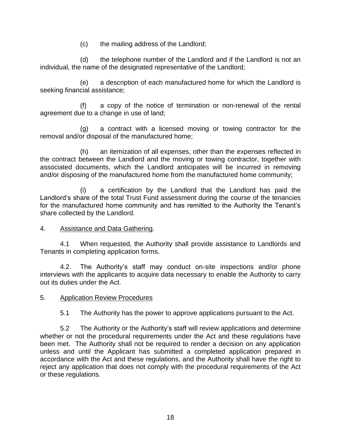(c) the mailing address of the Landlord;

 (d) the telephone number of the Landlord and if the Landlord is not an individual, the name of the designated representative of the Landlord;

 (e) a description of each manufactured home for which the Landlord is seeking financial assistance;

 (f) a copy of the notice of termination or non-renewal of the rental agreement due to a change in use of land;

(g) a contract with a licensed moving or towing contractor for the removal and/or disposal of the manufactured home;

 (h) an itemization of all expenses, other than the expenses reflected in the contract between the Landlord and the moving or towing contractor, together with associated documents, which the Landlord anticipates will be incurred in removing and/or disposing of the manufactured home from the manufactured home community;

 (i) a certification by the Landlord that the Landlord has paid the Landlord's share of the total Trust Fund assessment during the course of the tenancies for the manufactured home community and has remitted to the Authority the Tenant's share collected by the Landlord.

# 4. Assistance and Data Gathering.

4.1 When requested, the Authority shall provide assistance to Landlords and Tenants in completing application forms.

 4.2. The Authority's staff may conduct on-site inspections and/or phone interviews with the applicants to acquire data necessary to enable the Authority to carry out its duties under the Act.

# 5. Application Review Procedures

5.1 The Authority has the power to approve applications pursuant to the Act.

 whether or not the procedural requirements under the Act and these regulations have been met. The Authority shall not be required to render a decision on any application unless and until the Applicant has submitted a completed application prepared in accordance with the Act and these regulations, and the Authority shall have the right to reject any application that does not comply with the procedural requirements of the Act 5.2 The Authority or the Authority's staff will review applications and determine or these regulations.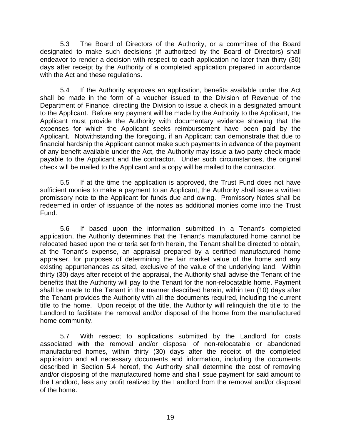5.3 The Board of Directors of the Authority, or a committee of the Board designated to make such decisions (if authorized by the Board of Directors) shall endeavor to render a decision with respect to each application no later than thirty (30) days after receipt by the Authority of a completed application prepared in accordance with the Act and these regulations.

 shall be made in the form of a voucher issued to the Division of Revenue of the Department of Finance, directing the Division to issue a check in a designated amount to the Applicant. Before any payment will be made by the Authority to the Applicant, the Applicant must provide the Authority with documentary evidence showing that the Applicant. Notwithstanding the foregoing, if an Applicant can demonstrate that due to financial hardship the Applicant cannot make such payments in advance of the payment of any benefit available under the Act, the Authority may issue a two-party check made payable to the Applicant and the contractor. Under such circumstances, the original check will be mailed to the Applicant and a copy will be mailed to the contractor. 5.4 If the Authority approves an application, benefits available under the Act expenses for which the Applicant seeks reimbursement have been paid by the

 5.5 If at the time the application is approved, the Trust Fund does not have sufficient monies to make a payment to an Applicant, the Authority shall issue a written promissory note to the Applicant for funds due and owing. Promissory Notes shall be redeemed in order of issuance of the notes as additional monies come into the Trust Fund.

 5.6 If based upon the information submitted in a Tenant's completed application, the Authority determines that the Tenant's manufactured home cannot be relocated based upon the criteria set forth herein, the Tenant shall be directed to obtain, at the Tenant's expense, an appraisal prepared by a certified manufactured home appraiser, for purposes of determining the fair market value of the home and any existing appurtenances as sited, exclusive of the value of the underlying land. Within thirty (30) days after receipt of the appraisal, the Authority shall advise the Tenant of the benefits that the Authority will pay to the Tenant for the non-relocatable home. Payment shall be made to the Tenant in the manner described herein, within ten (10) days after the Tenant provides the Authority with all the documents required, including the current title to the home. Upon receipt of the title, the Authority will relinquish the title to the Landlord to facilitate the removal and/or disposal of the home from the manufactured home community.

 5.7 With respect to applications submitted by the Landlord for costs associated with the removal and/or disposal of non-relocatable or abandoned application and all necessary documents and information, including the documents described in Section 5.4 hereof, the Authority shall determine the cost of removing and/or disposing of the manufactured home and shall issue payment for said amount to the Landlord, less any profit realized by the Landlord from the removal and/or disposal manufactured homes, within thirty (30) days after the receipt of the completed of the home.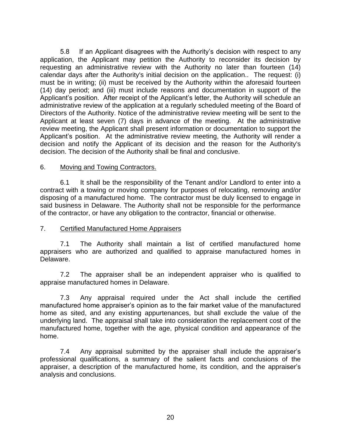58 application, the Applicant may petition the Authority to reconsider its decision by requesting an administrative review with the Authority no later than fourteen (14) calendar days after the Authority's initial decision on the application.. The request: (i) (14) day period; and (iii) must include reasons and documentation in support of the Applicant's position. After receipt of the Applicant's letter, the Authority will schedule an administrative review of the application at a regularly scheduled meeting of the Board of Directors of the Authority. Notice of the administrative review meeting will be sent to the Applicant at least seven (7) days in advance of the meeting. At the administrative Applicant's position. At the administrative review meeting, the Authority will render a decision and notify the Applicant of its decision and the reason for the Authority's If an Applicant disagrees with the Authority's decision with respect to any must be in writing; (ii) must be received by the Authority within the aforesaid fourteen review meeting, the Applicant shall present information or documentation to support the decision. The decision of the Authority shall be final and conclusive.

### 6. Moving and Towing Contractors.

 6.1 It shall be the responsibility of the Tenant and/or Landlord to enter into a contract with a towing or moving company for purposes of relocating, removing and/or disposing of a manufactured home. The contractor must be duly licensed to engage in said business in Delaware. The Authority shall not be responsible for the performance of the contractor, or have any obligation to the contractor, financial or otherwise.

### 7. Certified Manufactured Home Appraisers

 7.1 The Authority shall maintain a list of certified manufactured home appraisers who are authorized and qualified to appraise manufactured homes in Delaware.

 7.2 The appraiser shall be an independent appraiser who is qualified to appraise manufactured homes in Delaware.

 7.3 Any appraisal required under the Act shall include the certified manufactured home appraiser's opinion as to the fair market value of the manufactured home as sited, and any existing appurtenances, but shall exclude the value of the underlying land. The appraisal shall take into consideration the replacement cost of the manufactured home, together with the age, physical condition and appearance of the home.

 7.4 Any appraisal submitted by the appraiser shall include the appraiser's professional qualifications, a summary of the salient facts and conclusions of the appraiser, a description of the manufactured home, its condition, and the appraiser's analysis and conclusions.